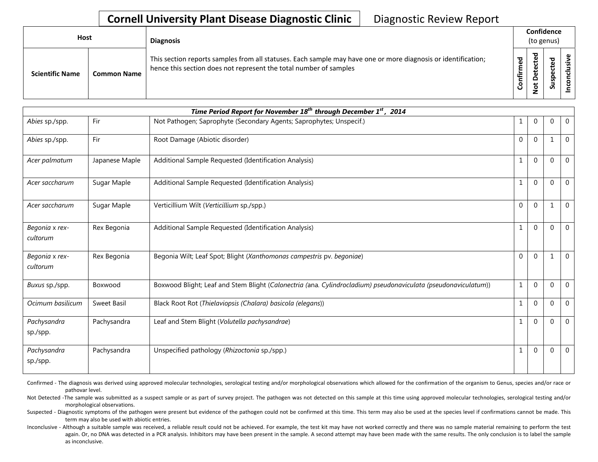## **Cornell University Plant Disease Diagnostic Clinic** | Diagnostic Review Report

| <b>Host</b> |                        |                    | <b>Diagnosis</b>                                                                                                                                                                   |                              | Confidence<br>(to genus)                |                               |    |
|-------------|------------------------|--------------------|------------------------------------------------------------------------------------------------------------------------------------------------------------------------------------|------------------------------|-----------------------------------------|-------------------------------|----|
|             | <b>Scientific Name</b> | <b>Common Name</b> | This section reports samples from all statuses. Each sample may have one or more diagnosis or identification;<br>hence this section does not represent the total number of samples | 5g<br>٤<br><b>Infir</b><br>ပ | ъ<br>ť<br>ق<br>۵<br>۵<br>پ<br>$\dot{S}$ | ᠊ᢦ<br>உ<br>ں<br>ဒ္ဓ<br>-<br>S | šŗ |

| Time Period Report for November 18 <sup>th</sup> through December 1 <sup>st</sup> , 2014 |                |                                                                                                                |              |              |              |                |  |
|------------------------------------------------------------------------------------------|----------------|----------------------------------------------------------------------------------------------------------------|--------------|--------------|--------------|----------------|--|
| Abies sp./spp.                                                                           | Fir            | Not Pathogen; Saprophyte (Secondary Agents; Saprophytes; Unspecif.)                                            | 1            | $\mathbf 0$  | $\mathbf 0$  | $\overline{0}$ |  |
| Abies sp./spp.                                                                           | Fir            | Root Damage (Abiotic disorder)                                                                                 | $\Omega$     | $\Omega$     | $\mathbf{1}$ | $\Omega$       |  |
| Acer palmatum                                                                            | Japanese Maple | Additional Sample Requested (Identification Analysis)                                                          | $\mathbf{1}$ | $\Omega$     | $\Omega$     | $\overline{0}$ |  |
| Acer saccharum                                                                           | Sugar Maple    | Additional Sample Requested (Identification Analysis)                                                          | $\mathbf{1}$ | $\Omega$     | $\Omega$     | $\Omega$       |  |
| Acer saccharum                                                                           | Sugar Maple    | Verticillium Wilt (Verticillium sp./spp.)                                                                      | $\Omega$     | $\Omega$     | $\mathbf{1}$ | $\Omega$       |  |
| Begonia x rex-<br>cultorum                                                               | Rex Begonia    | Additional Sample Requested (Identification Analysis)                                                          | $\mathbf{1}$ | $\Omega$     | $\Omega$     | $\Omega$       |  |
| Begonia x rex-<br>cultorum                                                               | Rex Begonia    | Begonia Wilt; Leaf Spot; Blight (Xanthomonas campestris pv. begoniae)                                          | $\mathbf{0}$ | $\Omega$     | 1            | $\Omega$       |  |
| Buxus sp./spp.                                                                           | Boxwood        | Boxwood Blight; Leaf and Stem Blight (Calonectria (ana. Cylindrocladium) pseudonaviculata (pseudonaviculatum)) | $\mathbf{1}$ | $\Omega$     | $\mathbf{0}$ | $\overline{0}$ |  |
| Ocimum basilicum                                                                         | Sweet Basil    | Black Root Rot (Thielaviopsis (Chalara) basicola (elegans))                                                    | $\mathbf{1}$ | $\Omega$     | $\Omega$     | $\overline{0}$ |  |
| Pachysandra<br>sp./spp.                                                                  | Pachysandra    | Leaf and Stem Blight (Volutella pachysandrae)                                                                  | $\mathbf{1}$ | $\mathbf{0}$ | $\Omega$     | $\Omega$       |  |
| Pachysandra<br>sp./spp.                                                                  | Pachysandra    | Unspecified pathology (Rhizoctonia sp./spp.)                                                                   | $\mathbf{1}$ | $\Omega$     | $\Omega$     | $\Omega$       |  |

Confirmed - The diagnosis was derived using approved molecular technologies, serological testing and/or morphological observations which allowed for the confirmation of the organism to Genus, species and/or race or pathovar level.

Not Detected -The sample was submitted as a suspect sample or as part of survey project. The pathogen was not detected on this sample at this time using approved molecular technologies, serological testing and/or morphological observations.

Suspected - Diagnostic symptoms of the pathogen were present but evidence of the pathogen could not be confirmed at this time. This term may also be used at the species level if confirmations cannot be made. This term may also be used with abiotic entries.

Inconclusive - Although a suitable sample was received, a reliable result could not be achieved. For example, the test kit may have not worked correctly and there was no sample material remaining to perform the test again. Or, no DNA was detected in a PCR analysis. Inhibitors may have been present in the sample. A second attempt may have been made with the same results. The only conclusion is to label the sample as inconclusive.